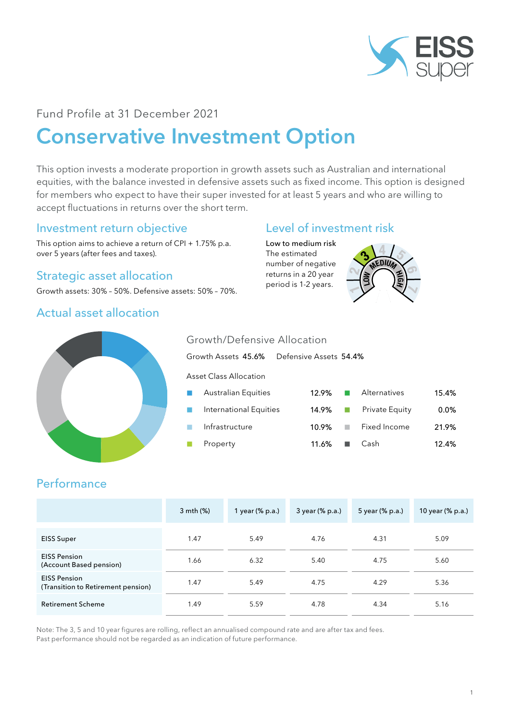

## Fund Profile at 31 December 2021

# Conservative Investment Option

This option invests a moderate proportion in growth assets such as Australian and international equities, with the balance invested in defensive assets such as fixed income. This option is designed for members who expect to have their super invested for at least 5 years and who are willing to accept fluctuations in returns over the short term.

## Investment return objective

This option aims to achieve a return of CPI + 1.75% p.a. over 5 years (after fees and taxes).

# Strategic asset allocation

Growth assets: 30% – 50%. Defensive assets: 50% – 70%.

### Actual asset allocation



Low to medium risk The estimated number of negative returns in a 20 year period is 1-2 years.





#### Growth/Defensive Allocation

Growth Assets 45.6% Defensive Assets 54.4%

Asset Class Allocation

| $\  \cdot \ $               | Australian Equities    | 12.9%                   |           | Alternatives   | 15.4%   |
|-----------------------------|------------------------|-------------------------|-----------|----------------|---------|
| $\mathcal{L}_{\mathcal{A}}$ | International Equities | $14.9\%$ $\Box$         |           | Private Equity | $0.0\%$ |
| <b>COL</b>                  | Infrastructure         | 10.9%                   | $\sim 10$ | Fixed Income   | 21.9%   |
| $\sim$                      | Property               | $11.6\%$ $\blacksquare$ |           | Cash           | 12.4%   |

# **Performance**

|                                                           | 3 mth (%) | 1 year (% p.a.) | 3 year (% p.a.) | 5 year (% p.a.) | 10 year (% p.a.) |
|-----------------------------------------------------------|-----------|-----------------|-----------------|-----------------|------------------|
| <b>EISS Super</b>                                         | 1.47      | 5.49            | 4.76            | 4.31            | 5.09             |
| <b>EISS Pension</b><br>(Account Based pension)            | 1.66      | 6.32            | 5.40            | 4.75            | 5.60             |
| <b>EISS Pension</b><br>(Transition to Retirement pension) | 1.47      | 5.49            | 4.75            | 4.29            | 5.36             |
| <b>Retirement Scheme</b>                                  | 1.49      | 5.59            | 4.78            | 4.34            | 5.16             |

Note: The 3, 5 and 10 year figures are rolling, reflect an annualised compound rate and are after tax and fees. Past performance should not be regarded as an indication of future performance.